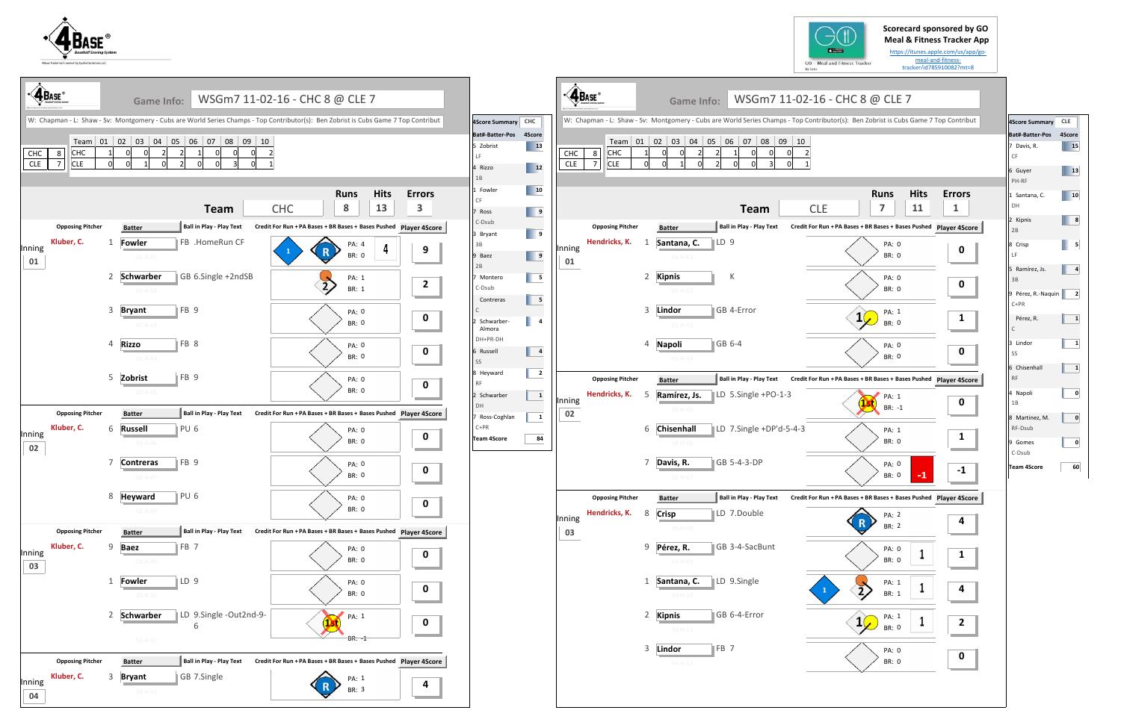## **Scorecard sponsored by GO Meal & Fitness Tracker App**

https://itunes.apple.com/us/app/go‐ meal‐and‐fitness‐ tracker/id785910082?mt=8

## L6 - CHC 8 @ CLE 7

ributor(s): Ben Zobrist is Cubs Game 7 Top Contribut





| <b>4 BASE</b>                           |                         | <b>Game Info:</b>              |                                    | WSGm7 11-02-16 - CHC 8 @ CLE 7                                                                                                      |                                          |                                                             |                                                                                                                |                   | $\triangleleft$ $\mathbf{A}_{\text{Base}}$ | <b>Game Info:</b>                                | WSGm7 11-02-16 - CHC 8 @ CLE 7                                                                                                   |                                                               |                                        |                   |                         |
|-----------------------------------------|-------------------------|--------------------------------|------------------------------------|-------------------------------------------------------------------------------------------------------------------------------------|------------------------------------------|-------------------------------------------------------------|----------------------------------------------------------------------------------------------------------------|-------------------|--------------------------------------------|--------------------------------------------------|----------------------------------------------------------------------------------------------------------------------------------|---------------------------------------------------------------|----------------------------------------|-------------------|-------------------------|
|                                         |                         |                                |                                    | W: Chapman - L: Shaw - Sv: Montgomery - Cubs are World Series Champs - Top Contributor(s): Ben Zobrist is Cubs Game 7 Top Contribut |                                          | 4Score Summary CHC                                          |                                                                                                                |                   |                                            |                                                  | W: Chapman - L: Shaw - Sv: Montgomery - Cubs are World Series Champs - Top Contributor(s): Ben Zobrist is Cubs Game 7 Top Contri |                                                               |                                        |                   |                         |
| $\bf 8$<br>CHC<br>$\overline{7}$<br>CLE | CHC<br><b>CLE</b>       |                                | Team 01 02 03 04 05 06 07 08 09 10 |                                                                                                                                     |                                          | Bat#-Batter-Pos 4Score<br>5 Zobrist<br>LF.<br>4 Rizzo<br>1B | $\overline{13}$<br>$\sqrt{12}$                                                                                 | CHC<br><b>CLE</b> | 8<br>CHC<br><b>CLE</b><br>$\overline{7}$   |                                                  | Team 01 02 03 04 05 06 07 08 09 10                                                                                               |                                                               |                                        |                   |                         |
|                                         |                         |                                | <b>Team</b>                        | <b>Hits</b><br><b>Runs</b><br>13<br>8<br><b>CHC</b>                                                                                 | <b>Errors</b><br>$\overline{\mathbf{3}}$ | 1 Fowler<br>CF<br>7 Ross<br>C-Dsub                          | $\overline{\phantom{0}}$ 10<br>$\begin{array}{ c c c c c }\n\hline\n\text{I} & \text{9}\n\end{array}$          |                   |                                            |                                                  | <b>Team</b>                                                                                                                      | <b>CLE</b>                                                    | <b>Runs</b><br>$\overline{ }$          | <b>Hits</b><br>11 | Error<br>$\mathbf{1}$   |
|                                         | <b>Opposing Pitcher</b> | <b>Batter</b>                  | Ball in Play - Play Text           | Credit For Run + PA Bases + BR Bases + Bases Pushed Player 4Score                                                                   |                                          | 3 Bryant                                                    | $\overline{\phantom{0}}$                                                                                       |                   | <b>Opposing Pitcher</b>                    | <b>Batter</b>                                    | <b>Ball in Play - Play Text</b>                                                                                                  | Credit For Run + PA Bases + BR Bases + Bases Pushed Player 4S |                                        |                   |                         |
| Inning<br>01                            | Kluber, C.              | <b>Fowler</b><br>$01 - A - 01$ | FB .HomeRun CF                     | PA: 4<br>$\frac{1}{4}$<br>$\mathbf R$<br><b>BR: 0</b>                                                                               | 9                                        | 3B<br>9 Baez<br>2B                                          | $\begin{array}{ c c c c c }\n\hline\n\multicolumn{1}{ c }{9} & \multicolumn{1}{ c }{9} \\ \hline\n\end{array}$ | Inning<br>01      | Hendricks, K.                              | 1<br>Santana, C.<br>01-H-01                      | ∥LD 9                                                                                                                            |                                                               | PA: 0<br>BR: 0                         |                   | $\bf{0}$                |
|                                         |                         | 2 Schwarber<br>$01 - A - 02$   | GB 6.Single +2ndSB                 | PA: 1<br>BR: 1                                                                                                                      | $\overline{2}$                           | 7 Montero<br>C-Dsub<br>Contreras                            | $\blacksquare$ 5<br>$\overline{\phantom{0}}$                                                                   |                   |                                            | 2 Kipnis<br>$01 - H - 02$                        | К                                                                                                                                |                                                               | PA: 0<br>BR: 0                         |                   | $\mathbf 0$             |
|                                         |                         | 3 Bryant<br>$01 - A - 03$      | $\parallel$ FB 9                   | <b>PA: 0</b><br><b>BR: 0</b>                                                                                                        | $\mathbf 0$                              | $\subset$<br>2 Schwarber-<br>Almora                         | $\overline{a}$                                                                                                 |                   |                                            | 3<br>Lindor<br>$01 - H - 03$                     | GB 4-Error                                                                                                                       |                                                               | PA: 1<br>$1\sqrt{ }$<br><b>BR: 0</b>   |                   | $\mathbf{1}$            |
|                                         |                         | 4 Rizzo<br>$01 - A - 04$       | $\parallel$ FB 8                   | PA: 0<br><b>BR: 0</b>                                                                                                               | $\mathbf 0$                              | DH+PR-DH<br>6 Russell<br>SS                                 | $\overline{\mathbf{4}}$                                                                                        |                   |                                            | <b>Napoli</b><br>$\overline{4}$<br>$01 - H - 04$ | GB 6-4                                                                                                                           |                                                               | PA: 0<br><b>BR: 0</b>                  |                   | $\boldsymbol{0}$        |
|                                         |                         | 5 Zobrist                      | FB 9                               | PA: 0                                                                                                                               |                                          | 8 Heyward                                                   | $\overline{\mathbf{2}}$                                                                                        |                   | <b>Opposing Pitcher</b>                    | <b>Batter</b>                                    | <b>Ball in Play - Play Text</b>                                                                                                  | Credit For Run + PA Bases + BR Bases + Bases Pushed Player 4S |                                        |                   |                         |
|                                         |                         | $01 - A - 05$                  |                                    | <b>BR: 0</b>                                                                                                                        | $\mathbf 0$                              | <b>RF</b><br>2 Schwarber                                    | $\mathbf{1}$                                                                                                   | Inning            | Hendricks, K.                              | -5<br>Ramírez, Js.                               | LD 5.Single +PO-1-3                                                                                                              |                                                               | PA: 1                                  |                   |                         |
|                                         | <b>Opposing Pitcher</b> | <b>Batter</b>                  | Ball in Play - Play Text           | Credit For Run + PA Bases + BR Bases + Bases Pushed Player 4Score                                                                   |                                          | DH<br>Ross-Coghlan                                          | $\mathbf{1}$                                                                                                   | 02                |                                            | $02 - H - 05$                                    |                                                                                                                                  |                                                               | BR: -1                                 |                   | $\bf{0}$                |
| Inning<br>02                            | Kluber, C.              | 6 Russell<br>$02 - A - 06$     | PU <sub>6</sub>                    | <b>PA: 0</b><br>BR: 0                                                                                                               | $\mathbf 0$                              | $C+PR$<br><b>Team 4Score</b>                                | 84                                                                                                             |                   |                                            | 6 Chisenhall<br>$02 - H - 06$                    | LD 7.Single +DP'd-5-4-3                                                                                                          |                                                               | PA: 1<br>BR: 0                         |                   | $\mathbf{1}$            |
|                                         |                         | 7 Contreras<br>$02 - A - 07$   | FB 9                               | <b>PA: 0</b><br><b>BR: 0</b>                                                                                                        | $\mathbf 0$                              |                                                             |                                                                                                                |                   |                                            | 7<br>Davis, R.<br>$02 - H - 0$                   | GB 5-4-3-DP                                                                                                                      |                                                               | PA: 0<br><b>BR: 0</b>                  |                   |                         |
|                                         |                         | 8 Heyward                      | PU <sub>6</sub>                    | PA: 0                                                                                                                               |                                          |                                                             |                                                                                                                |                   | <b>Opposing Pitcher</b>                    | <b>Batter</b>                                    | <b>Ball in Play - Play Text</b>                                                                                                  | Credit For Run + PA Bases + BR Bases + Bases Pushed Player 4S |                                        |                   |                         |
|                                         |                         | $02 - A - 08$                  |                                    | <b>BR: 0</b>                                                                                                                        | $\mathbf 0$                              |                                                             |                                                                                                                | Inning            | Hendricks, K.                              | <b>Crisp</b><br>8                                | LD 7.Double                                                                                                                      |                                                               | PA: 2                                  |                   |                         |
|                                         | <b>Opposing Pitcher</b> | <b>Batter</b>                  | Ball in Play - Play Text           | Credit For Run + PA Bases + BR Bases + Bases Pushed Player 4Score                                                                   |                                          |                                                             |                                                                                                                | 03                |                                            | 03-H-08                                          |                                                                                                                                  |                                                               | BR: 2                                  |                   | 4                       |
| Inning<br>03                            | Kluber, C.              | 9 Baez<br>03-A-09              | FB 7                               | PA: 0<br><b>BR: 0</b>                                                                                                               | $\mathbf 0$                              |                                                             |                                                                                                                |                   |                                            | 9 Pérez, R.<br>$03 - H - 09$                     | GB 3-4-SacBunt                                                                                                                   |                                                               | PA: 0<br>BR: 0                         |                   | $\mathbf{1}$            |
|                                         |                         | 1 Fowler<br>$03 - A - 10$      | $\mathbb{ID}9$                     | PA: 0<br>BR: 0                                                                                                                      | $\mathbf 0$                              |                                                             |                                                                                                                |                   |                                            | 1 Santana, C.<br>$03-H-10$                       | LD 9.Single                                                                                                                      |                                                               | PA: 1<br>$\overrightarrow{2}$<br>BR: 1 |                   | 4                       |
|                                         |                         | 2 Schwarber                    | LD 9.Single -Out2nd-9-<br>6        | PA: 1                                                                                                                               | $\mathbf 0$<br><b>Contract Contract</b>  |                                                             |                                                                                                                |                   |                                            | 2 Kipnis<br>$03 - H - 11$                        | GB 6-4-Error                                                                                                                     |                                                               | PA: 1<br>$1\sqrt{ }$<br><b>BR: 0</b>   |                   | $\overline{\mathbf{2}}$ |
|                                         |                         | $03 - A - 11$                  |                                    | $BR: -1$                                                                                                                            |                                          |                                                             |                                                                                                                |                   |                                            | 3 Lindor                                         | FB <sub>7</sub>                                                                                                                  |                                                               | PA: 0                                  |                   |                         |
|                                         | <b>Opposing Pitcher</b> | <b>Batter</b>                  | Ball in Play - Play Text           | Credit For Run + PA Bases + BR Bases + Bases Pushed Player 4Score                                                                   |                                          |                                                             |                                                                                                                |                   |                                            | $03-H-12$                                        |                                                                                                                                  |                                                               | BR: 0                                  |                   | $\mathbf 0$             |
| Inning                                  | Kluber, C.              | 3 Bryant<br>$04 - A - 12$      | GB 7.Single                        | PA: 1<br>BR: 3                                                                                                                      | $\overline{\mathbf{4}}$                  |                                                             |                                                                                                                |                   |                                            |                                                  |                                                                                                                                  |                                                               |                                        |                   |                         |
| 04                                      |                         |                                |                                    |                                                                                                                                     |                                          |                                                             |                                                                                                                |                   |                                            |                                                  |                                                                                                                                  |                                                               |                                        |                   |                         |



| 4Score Summary               | <b>CLE</b> |
|------------------------------|------------|
| Bat#-Batter-Pos              | 4Score     |
| 7 Davis, R.<br>CF            | <b>15</b>  |
| 6 Guyer<br>PH-RF             | 13         |
| 1 Santana, C.<br>DH          | 10         |
| 2 Kipnis<br>2B               | 8          |
| 8 Crisp<br>LF                | 5          |
| 5 Ramírez, Js.<br>3B         | 4          |
| 9 Pérez, R.-Naquin<br>$C+PR$ | 2          |
| Pérez, R.<br>C               | 1          |
| 3 Lindor<br>SS               | 1          |
| 6 Chisenhall<br><b>RF</b>    | 1          |
| 4 Napoli<br>1B               | 0          |
| 8 Martinez, M.<br>RF-Dsub    | 0          |
| 9 Gomes<br>C-Dsub            | 0          |
| <b>Team 4Score</b>           | 60         |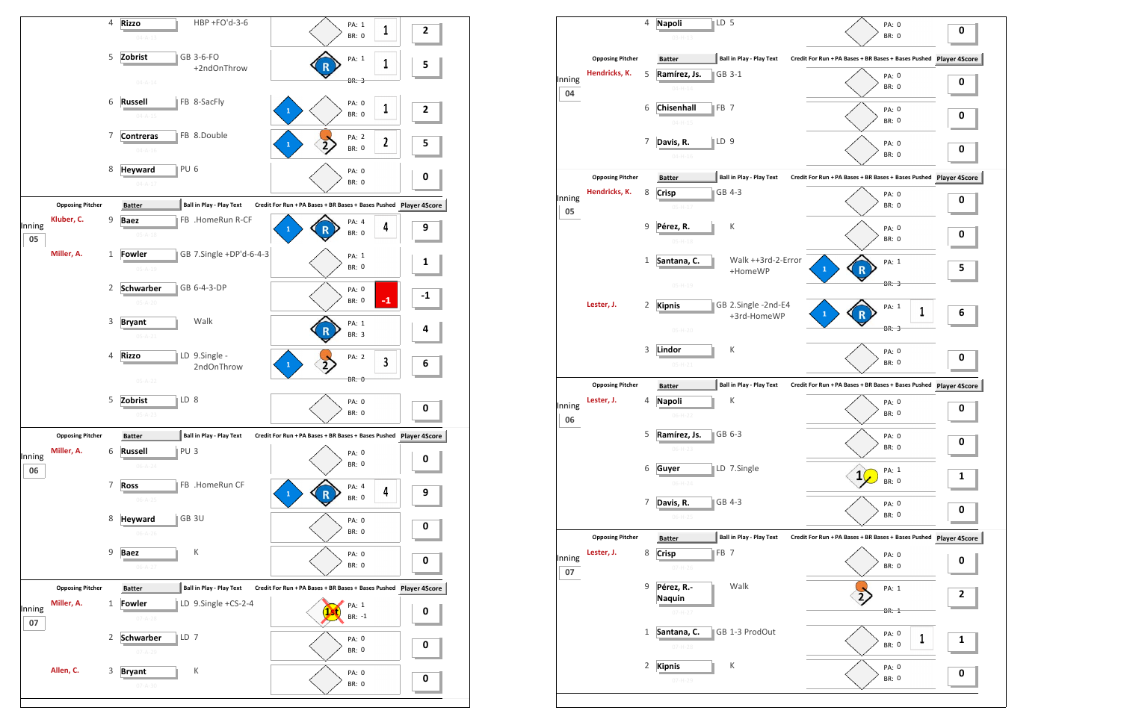

|              |                                       | 4           | <b>Napoli</b><br>$03 - H - 13$ | LD <sub>5</sub> |                                    | PA: 0<br><b>BR: 0</b>                                         |   | 0 |
|--------------|---------------------------------------|-------------|--------------------------------|-----------------|------------------------------------|---------------------------------------------------------------|---|---|
|              | <b>Opposing Pitcher</b>               |             | <b>Batter</b>                  |                 | <b>Ball in Play - Play Text</b>    | Credit For Run + PA Bases + BR Bases + Bases Pushed Player 4S |   |   |
|              | Hendricks, K.                         | 5           | Ramírez, Js.                   |                 | GB 3-1                             |                                                               |   |   |
| Inning<br>04 |                                       |             | $04 - H - 14$                  |                 |                                    | PA: 0<br><b>BR: 0</b>                                         |   | 0 |
|              |                                       | 6           | <b>Chisenhall</b>              | FB <sub>7</sub> |                                    | PA: 0                                                         |   |   |
|              |                                       |             | $04 - H - 15$                  |                 |                                    | <b>BR: 0</b>                                                  |   | 0 |
|              |                                       | 7           | Davis, R.<br>$04 - H - 16$     | LD <sub>9</sub> |                                    | PA: 0<br><b>BR: 0</b>                                         |   | 0 |
|              | <b>Opposing Pitcher</b>               |             | <b>Batter</b>                  |                 | <b>Ball in Play - Play Text</b>    | Credit For Run + PA Bases + BR Bases + Bases Pushed Player 4S |   |   |
|              | Hendricks, K.                         | 8           | <b>Crisp</b>                   |                 | GB 4-3                             | PA: 0                                                         |   |   |
| Inning<br>05 |                                       |             | $05-H-17$                      |                 |                                    | <b>BR: 0</b>                                                  |   | 0 |
|              |                                       | 9           | Pérez, R.                      |                 | К                                  | PA: 0                                                         |   | 0 |
|              |                                       |             | $05-H-18$                      |                 |                                    | <b>BR: 0</b>                                                  |   |   |
|              |                                       | 1           | Santana, C.                    |                 | Walk ++3rd-2-Error<br>+HomeWP      | PA: 1<br>$\mathbf{1}$                                         |   | 5 |
|              |                                       |             | $05 - H - 19$                  |                 |                                    | <b>BR: 3</b>                                                  |   |   |
|              | Lester, J.                            | 2           | <b>Kipnis</b>                  |                 | GB 2.Single -2nd-E4<br>+3rd-HomeWP | PA: 1<br>$\mathbf{1}$                                         | 1 | 6 |
|              |                                       |             | $05-H-20$                      |                 |                                    | <b>BR: 3</b>                                                  |   |   |
|              |                                       | 3           | Lindor                         |                 | К                                  | PA: 0<br><b>BR: 0</b>                                         |   | 0 |
|              |                                       |             | $05-H-21$                      |                 | <b>Ball in Play - Play Text</b>    |                                                               |   |   |
|              | <b>Opposing Pitcher</b><br>Lester, J. | 4           | <b>Batter</b>                  |                 | К                                  | Credit For Run + PA Bases + BR Bases + Bases Pushed Player 4S |   |   |
| Inning       |                                       |             | <b>Napoli</b><br>06-H-22       |                 |                                    | PA: 0                                                         |   | 0 |
|              |                                       |             |                                |                 |                                    | <b>BR: 0</b>                                                  |   |   |
| 06           |                                       | 5           | Ramírez, Js.                   |                 | GB 6-3                             |                                                               |   |   |
|              |                                       |             | $06-H-23$                      |                 |                                    | PA: 0<br>BR: 0                                                |   | 0 |
|              |                                       | 6           | Guyer                          |                 | LD 7.Single                        | PA: 1<br>1                                                    |   | 1 |
|              |                                       |             | $06 - H - 24$                  |                 |                                    | <b>BR: 0</b>                                                  |   |   |
|              |                                       | 7           | Davis, R.<br>$06-H-25$         |                 | GB 4-3                             | PA: 0<br><b>BR: 0</b>                                         |   | 0 |
|              | <b>Opposing Pitcher</b>               |             | <b>Batter</b>                  |                 | <b>Ball in Play - Play Text</b>    | Credit For Run + PA Bases + BR Bases + Bases Pushed Player 4S |   |   |
|              | Lester, J.                            | 8           | <b>Crisp</b>                   | FB <sub>7</sub> |                                    | PA: 0                                                         |   |   |
| 07           |                                       |             | $07 - H - 26$                  |                 |                                    | BR: 0                                                         |   | 0 |
|              |                                       | $\mathsf 9$ | Pérez, R.-<br><b>Naquin</b>    |                 | Walk                               | PA: 1                                                         |   | 2 |
|              |                                       |             | $07 - H - 27$                  |                 |                                    | <b>BR: 1</b>                                                  |   |   |
|              |                                       | $\mathbf 1$ | Santana, C.                    |                 | GB 1-3 ProdOut                     | PA: 0                                                         |   |   |
| Inning       |                                       | 2           | $07-H-28$<br><b>Kipnis</b>     |                 | К                                  | BR: 0                                                         | 1 | 1 |

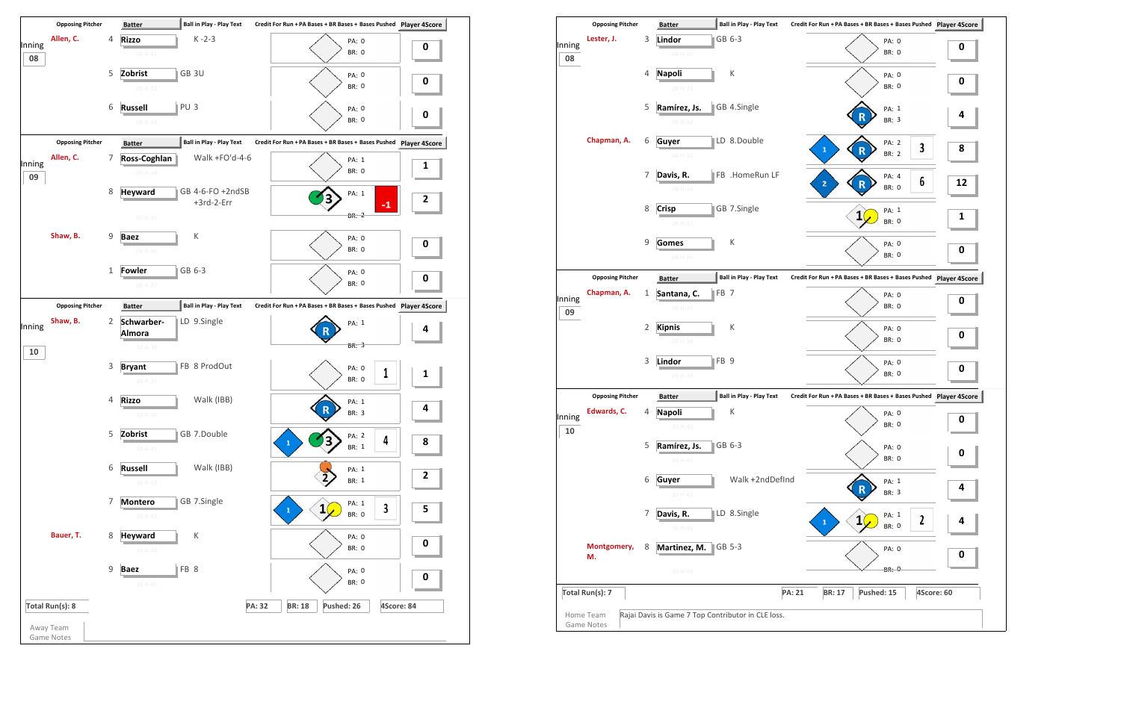

| Lester, J.<br>Inning        | 3 | GB 6-3<br>Lindor                                 |                                                                       |    |
|-----------------------------|---|--------------------------------------------------|-----------------------------------------------------------------------|----|
|                             |   |                                                  | PA: 0<br><b>BR: 0</b>                                                 | 0  |
| 08                          |   | $08 - H - 30$                                    |                                                                       |    |
|                             | 4 | К<br><b>Napoli</b><br>$08 - H - 31$              | PA: 0<br><b>BR: 0</b>                                                 | 0  |
|                             | 5 | GB 4.Single<br>Ramírez, Js.<br>08-H-32           | PA: 1<br>BR: 3                                                        | 4  |
| Chapman, A.                 | 6 | LD 8.Double<br>Guyer<br>08-H-33                  | PA: 2<br>$\overline{\mathbf{3}}$<br>$\mathbf{1}$<br>R<br><b>BR: 2</b> | 8  |
|                             | 7 | FB .HomeRun LF<br>Davis, R.<br>$08 - H - 34$     | PA: 4<br>6<br>2<br>BR: 0                                              | 12 |
|                             | 8 | GB 7.Single<br><b>Crisp</b><br>08-H-35           | PA: 1<br>$\mathbf{1}$<br><b>BR: 0</b>                                 | 1  |
|                             | 9 | К<br><b>Gomes</b><br>$08 - H - 36$               | PA: 0<br><b>BR: 0</b>                                                 | 0  |
| <b>Opposing Pitcher</b>     |   | <b>Ball in Play - Play Text</b><br><b>Batter</b> | Credit For Run + PA Bases + BR Bases + Bases Pushed Player 4Score     |    |
| Chapman, A.                 | 1 | FB <sub>7</sub><br>Santana, C.                   | PA: 0                                                                 |    |
| Inning<br>09                |   | 09-H-37                                          | <b>BR: 0</b>                                                          | 0  |
|                             | 2 | К<br><b>Kipnis</b><br>09-H-38                    | PA: 0<br><b>BR: 0</b>                                                 | 0  |
|                             | 3 | FB <sub>9</sub><br>Lindor<br>09-H-39             | PA: 0<br><b>BR: 0</b>                                                 | 0  |
| <b>Opposing Pitcher</b>     |   | <b>Ball in Play - Play Text</b><br><b>Batter</b> | Credit For Run + PA Bases + BR Bases + Bases Pushed Player 4Score     |    |
| Edwards, C.<br>Inning<br>10 | 4 | <b>Napoli</b><br>Κ<br>$10 - H - 40$              | PA: 0<br><b>BR: 0</b>                                                 | 0  |
|                             | 5 | GB 6-3<br>Ramírez, Js.<br>$10 - H - 41$          | PA: 0<br>BR: 0                                                        | 0  |
|                             | 6 | Walk +2ndDefInd<br>Guyer<br>$10-H-42$            | PA: 1<br>BR: 3                                                        | 4  |
|                             | 7 | LD 8.Single<br>Davis, R.<br>$10-H-43$            | PA: 1<br>$\mathbf{1}$<br>$\boldsymbol{2}$<br>$\mathbf{1}$<br>BR: 0    | 4  |
| Montgomery,<br>М.           | 8 | Martinez, M.<br>GB 5-3                           | PA: 0                                                                 | 0  |
|                             |   | $10 - H - 44$                                    | <b>BR: 0</b>                                                          |    |
|                             |   |                                                  |                                                                       |    |
| Total Run(s): 7             |   |                                                  | <b>PA: 21</b><br>Pushed: 15<br>4Score: 60<br><b>BR: 17</b>            |    |

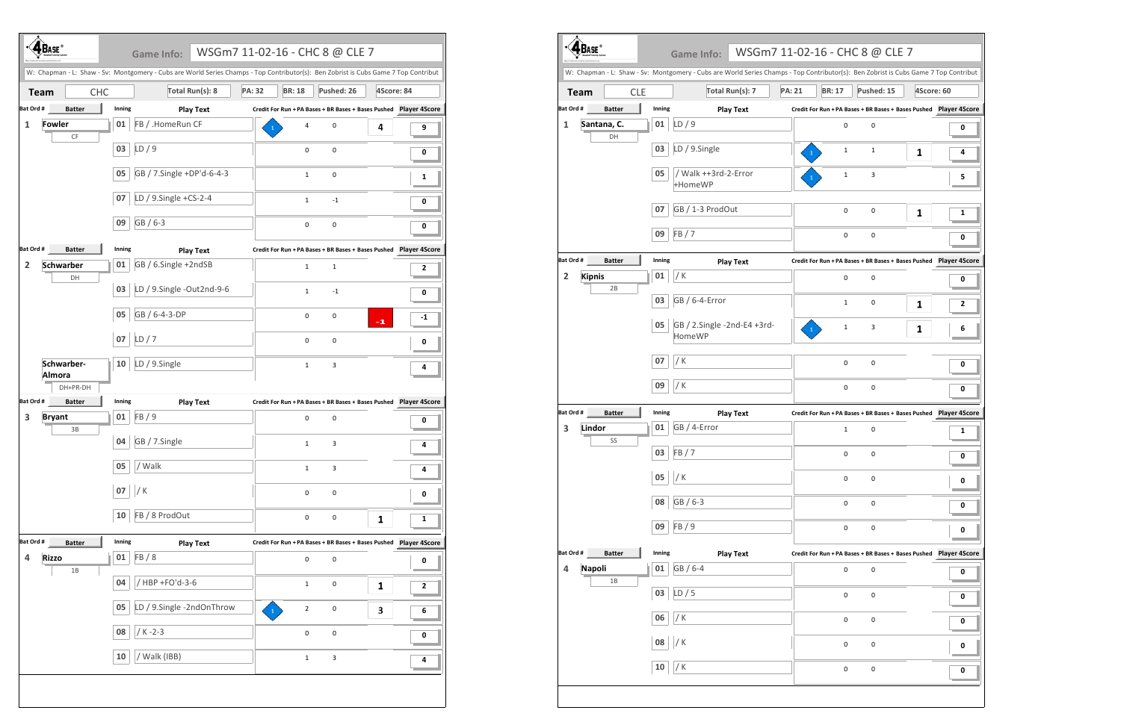|                |                             |            | W: Chapman - L: Shaw - Sv: Montgomery - Cubs are World Series Champs - Top Contributor(s): Ben Zobrist is Cubs Game 7 Top Contribut |               |                |                                                                   |            |      |
|----------------|-----------------------------|------------|-------------------------------------------------------------------------------------------------------------------------------------|---------------|----------------|-------------------------------------------------------------------|------------|------|
| <b>Team</b>    |                             | <b>CHC</b> | Total Run(s): 8                                                                                                                     | <b>PA: 32</b> | <b>BR: 18</b>  | Pushed: 26                                                        | 4Score: 84 |      |
| Bat Ord #      | <b>Batter</b>               | Inning     | <b>Play Text</b>                                                                                                                    |               |                | Credit For Run + PA Bases + BR Bases + Bases Pushed Player 4Score |            |      |
| $\mathbf{1}$   | <b>Fowler</b>               | 01         | FB / .HomeRun CF                                                                                                                    |               | 4              | 0                                                                 | 4          | 9    |
|                | CF                          | 03         | LD/9                                                                                                                                |               | 0              | 0                                                                 |            | 0    |
|                |                             | 05         | GB / 7.Single +DP'd-6-4-3                                                                                                           |               | $\mathbf{1}$   | 0                                                                 |            | 1    |
|                |                             | 07         | LD / 9.Single +CS-2-4                                                                                                               |               | $\mathbf{1}$   | $-1$                                                              |            | 0    |
|                |                             | 09         | GB / 6-3                                                                                                                            |               | 0              | 0                                                                 |            | 0    |
| Bat Ord #      | <b>Batter</b>               | Inning     | <b>Play Text</b>                                                                                                                    |               |                | Credit For Run + PA Bases + BR Bases + Bases Pushed Player 4Score |            |      |
| $\overline{2}$ | <b>Schwarber</b>            | 01         | GB / 6.Single +2ndSB                                                                                                                |               | $\mathbf{1}$   | $\mathbf{1}$                                                      |            | 2    |
|                | DH                          | 03         | LD / 9.Single -Out2nd-9-6                                                                                                           |               | $\mathbf{1}$   | $-1$                                                              |            | 0    |
|                |                             | 05         | GB / 6-4-3-DP                                                                                                                       |               | 0              | 0                                                                 | $-1$       | $-1$ |
|                |                             | 07         | LD/7                                                                                                                                |               | 0              | 0                                                                 |            | 0    |
|                | Schwarber-<br><b>Almora</b> | 10         | LD / 9.Single                                                                                                                       |               | $\mathbf{1}$   | 3                                                                 |            | 4    |
|                | DH+PR-DH                    |            |                                                                                                                                     |               |                |                                                                   |            |      |
| Bat Ord #      | <b>Batter</b>               | Inning     | <b>Play Text</b>                                                                                                                    |               |                | Credit For Run + PA Bases + BR Bases + Bases Pushed Player 4Score |            |      |
| 3              | <b>Bryant</b><br>3B         | 01         | FB/9                                                                                                                                |               | 0              | 0                                                                 |            | 0    |
|                |                             | 04         | GB / 7.Single                                                                                                                       |               | $\mathbf 1$    | 3                                                                 |            | 4    |
|                |                             | 05         | / Walk                                                                                                                              |               | $\mathbf 1$    | 3                                                                 |            | 4    |
|                |                             | 07         | / $K$                                                                                                                               |               | $\pmb{0}$      | $\pmb{0}$                                                         |            | 0    |
|                |                             | 10         | FB / 8 ProdOut                                                                                                                      |               | $\pmb{0}$      | $\pmb{0}$                                                         | 1          | 1    |
| Bat Ord #      | <b>Batter</b>               | Inning     | <b>Play Text</b>                                                                                                                    |               |                |                                                                   |            |      |
| 4              | <b>Rizzo</b><br>$1B$        | $01\,$     | FB/8                                                                                                                                |               | $\pmb{0}$      | 0                                                                 |            | 0    |
|                |                             | 04         | / HBP +FO'd-3-6                                                                                                                     |               | $\mathbf{1}$   | 0                                                                 | 1          | 2    |
|                |                             | 05         | LD / 9.Single -2ndOnThrow                                                                                                           |               | $\overline{2}$ | 0                                                                 | 3          | 6    |
|                |                             | 08         | $/K - 2 - 3$                                                                                                                        |               | 0              | 0                                                                 |            | 0    |
|                |                             | ${\bf 10}$ | / Walk (IBB)                                                                                                                        |               | $\mathbf 1$    | 3                                                                 |            | 4    |

|                                 |                   |        |                                              | W: Chapman - L: Shaw - Sv: Montgomery - Cubs are World Series Champs - Top Contributor(s): Ben Zobrist is Cubs Game 7 Top Contribut |            |
|---------------------------------|-------------------|--------|----------------------------------------------|-------------------------------------------------------------------------------------------------------------------------------------|------------|
| <b>Team</b>                     | <b>CLE</b>        |        | Total Run(s): 7                              | <b>PA: 21</b><br>Pushed: 15<br><b>BR: 17</b>                                                                                        | 4Score: 60 |
| Bat Ord #                       | <b>Batter</b>     | Inning | <b>Play Text</b>                             | Credit For Run + PA Bases + BR Bases + Bases Pushed Player 4Score                                                                   |            |
| 1                               | Santana, C.<br>DH | 01     | LD/9                                         | 0<br>0                                                                                                                              | 0          |
|                                 |                   | 03     | LD / 9.Single                                | $\mathbf{1}$<br>1<br>1                                                                                                              | 4          |
|                                 |                   | 05     | / Walk ++3rd-2-Error<br>+HomeWP              | 3<br>$\mathbf{1}$                                                                                                                   | 5          |
|                                 |                   | 07     | GB / 1-3 ProdOut                             | 0<br>0<br>1                                                                                                                         | 1          |
|                                 |                   | 09     | FB / 7                                       | 0<br>0                                                                                                                              | 0          |
| Bat Ord #                       | <b>Batter</b>     | Inning | <b>Play Text</b>                             | Credit For Run + PA Bases + BR Bases + Bases Pushed Player 4Score                                                                   |            |
| <b>Kipnis</b><br>2              | 2B                | 01     | / K                                          | $\mathbf 0$<br>0                                                                                                                    | 0          |
|                                 |                   | 03     | GB / 6-4-Error                               | 0<br>$\mathbf{1}$<br>1                                                                                                              | 2          |
|                                 |                   | 05     | GB / 2.Single -2nd-E4 +3rd-<br><b>HomeWP</b> | 3<br>1<br>1                                                                                                                         | 6          |
|                                 |                   | 07     | / K                                          | 0<br>0                                                                                                                              | 0          |
|                                 |                   | 09     | / K                                          | 0<br>0                                                                                                                              | 0          |
| Bat Ord #                       | <b>Batter</b>     | Inning | <b>Play Text</b>                             | Credit For Run + PA Bases + BR Bases + Bases Pushed Player 4Score                                                                   |            |
| Lindor<br>3                     | SS                | 01     | GB / 4-Error                                 | $\mathbf{1}$<br>0                                                                                                                   | 1          |
|                                 |                   | 03     | FB / 7                                       | 0<br>0                                                                                                                              | 0          |
|                                 |                   | 05     | / $\mathsf{K}$                               | 0<br>0                                                                                                                              | 0          |
|                                 |                   | 08     | GB / 6-3                                     | 0<br>0                                                                                                                              | 0          |
|                                 |                   | 09     | FB / 9                                       | 0<br>0                                                                                                                              | 0          |
| Bat Ord #                       | <b>Batter</b>     | Inning | <b>Play Text</b>                             | Credit For Run + PA Bases + BR Bases + Bases Pushed Player 4Score                                                                   |            |
| <b>Napoli</b><br>$\overline{a}$ | 1B                | 01     | GB / 6-4                                     | $\pmb{0}$<br>0                                                                                                                      | 0          |
|                                 |                   | 03     | LD/5                                         | 0<br>0                                                                                                                              | 0          |
|                                 |                   | 06     | / $K$                                        | $\pmb{0}$<br>$\pmb{0}$                                                                                                              | 0          |
|                                 |                   | 08     | /K                                           | 0<br>0                                                                                                                              | 0          |
|                                 |                   | 10     | / K                                          | 0<br>$\pmb{0}$                                                                                                                      | 0          |

|        | 5 - CHC 8 @ CLE 7                                      |            |                      |
|--------|--------------------------------------------------------|------------|----------------------|
|        | ibutor(s): Ben Zobrist is Cubs Game 7 Top Contribut    |            |                      |
| 3R: 17 | Pushed: 15                                             | 4Score: 60 |                      |
|        | un + PA Bases + BR Bases + Bases Pushed  Player 4Score |            |                      |
| 0      | 0                                                      |            | 0                    |
| 1      | 1                                                      | 1          | 4                    |
| 1      | 3                                                      |            | 5                    |
| 0      | 0                                                      | 1          | 1                    |
| 0      | 0                                                      |            | 0                    |
|        |                                                        |            |                      |
| 0      | 0                                                      |            | 0                    |
| 1      | 0                                                      | 1          | 2                    |
| 1      | 3                                                      | 1          | 6                    |
| 0      | 0                                                      |            | 0                    |
| 0      | 0                                                      |            | 0                    |
|        |                                                        |            |                      |
| 1      | 0                                                      |            | 1                    |
| 0      | 0                                                      |            | 0                    |
| 0      | 0                                                      |            | 0                    |
| 0      | 0                                                      |            | 0                    |
| 0      | 0                                                      |            | 0                    |
|        | un + PA Bases + BR Bases + Bases Pushed                |            | <b>Player 4Score</b> |
| 0      | 0                                                      |            | 0                    |
| 0      | 0                                                      |            | 0                    |
| 0      | 0                                                      |            | 0                    |
| 0      | 0                                                      |            | 0                    |
| 0      | 0                                                      |            | 0                    |
|        |                                                        |            |                      |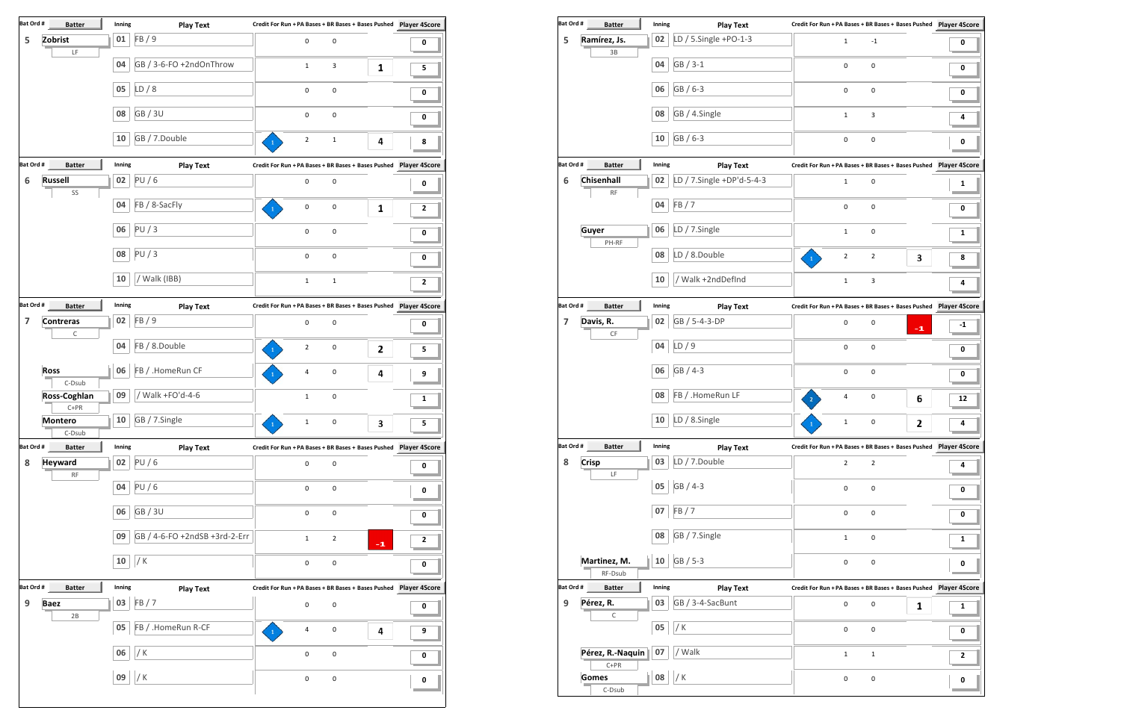| Bat Ord #               | <b>Batter</b>                                                                                          | Inning | <b>Play Text</b>              |                                                                   |              |
|-------------------------|--------------------------------------------------------------------------------------------------------|--------|-------------------------------|-------------------------------------------------------------------|--------------|
| 5                       | Zobrist<br>$\mathsf{LF}% _{0}\left( \mathcal{N}\right) \equiv\mathsf{LF}_{0}\left( \mathcal{N}\right)$ | 01     | FB / 9                        | 0<br>0                                                            | 0            |
|                         |                                                                                                        | 04     | GB / 3-6-FO +2ndOnThrow       | $\mathbf{1}$<br>3<br>1                                            | 5            |
|                         |                                                                                                        | 05     | LD/8                          | 0<br>0                                                            | 0            |
|                         |                                                                                                        | 08     | <b>GB/3U</b>                  | 0<br>$\pmb{0}$                                                    | 0            |
|                         |                                                                                                        | 10     | GB / 7.Double                 | $\overline{2}$<br>$\mathbf 1$<br>4                                | 8            |
| Bat Ord #               | <b>Batter</b>                                                                                          | Inning | <b>Play Text</b>              |                                                                   |              |
| 6                       | <b>Russell</b>                                                                                         | 02     | PU/6                          | 0<br>$\pmb{0}$                                                    | 0            |
|                         | SS                                                                                                     | 04     | FB / 8-SacFly                 | 0<br>0<br>1                                                       | 2            |
|                         |                                                                                                        | 06     | PU/3                          | 0<br>0                                                            | 0            |
|                         |                                                                                                        | 08     | PU/3                          | 0<br>$\pmb{0}$                                                    | 0            |
|                         |                                                                                                        | 10     | / Walk (IBB)                  | $\mathbf 1$<br>$\mathbf 1$                                        | 2            |
| Bat Ord #               | <b>Batter</b>                                                                                          | Inning | <b>Play Text</b>              |                                                                   |              |
| $\overline{\mathbf{z}}$ | <b>Contreras</b>                                                                                       | 02     | FB/9                          | 0<br>$\pmb{0}$                                                    | 0            |
|                         | С                                                                                                      | 04     | FB / 8.Double                 |                                                                   |              |
|                         |                                                                                                        |        |                               | $\mathbf{2}$<br>0<br>2                                            | 5            |
|                         | <b>Ross</b><br>C-Dsub                                                                                  | 06     | FB / .HomeRun CF              | $\pmb{0}$<br>4<br>4                                               | 9            |
|                         | Ross-Coghlan<br>$C+PR$                                                                                 | 09     | Walk +FO'd-4-6                | $\pmb{0}$<br>$\mathbf 1$                                          | 1            |
|                         | ٦<br><b>Montero</b><br>L.<br>C-Dsub                                                                    | 10     | GB / 7.Single                 | 3<br>$\mathbf{1}$<br>$\Omega$                                     | 5            |
| Bat Ord #               | <b>Batter</b>                                                                                          | Inning | <b>Play Text</b>              | Credit For Run + PA Bases + BR Bases + Bases Pushed Player 4Score |              |
| 8                       | <b>Heyward</b>                                                                                         | 02     | <b>PU/6</b>                   | 0<br>$\mathsf{O}\xspace$                                          | 0            |
|                         | $\mathsf{RF}$                                                                                          | 04     | PU/6                          | 0<br>$\pmb{0}$                                                    | 0            |
|                         |                                                                                                        | 06     | GB / 3U                       | $\mathsf{O}\xspace$<br>0                                          | 0            |
|                         |                                                                                                        | 09     | GB / 4-6-FO +2ndSB +3rd-2-Err | $\mathbf 1$<br>$\mathbf 2$<br>$-1$                                | $\mathbf{2}$ |
|                         |                                                                                                        | 10     | / $K$                         | 0<br>0                                                            | 0            |
| Bat Ord #               | <b>Batter</b>                                                                                          | Inning | <b>Play Text</b>              |                                                                   |              |
| 9                       | <b>Baez</b>                                                                                            | 03     | FB/7                          | $\mathsf 0$<br>$\pmb{0}$                                          | 0            |
|                         | 2B                                                                                                     | 05     | FB / .HomeRun R-CF            | 4<br>0<br>4                                                       | 9            |
|                         |                                                                                                        | 06     | / K                           | $\pmb{0}$<br>$\pmb{0}$                                            | 0            |
|                         |                                                                                                        | 09     | / K                           | $\pmb{0}$<br>$\pmb{0}$                                            | 0            |
|                         |                                                                                                        |        |                               |                                                                   |              |

| Bat Ord # | <b>Batter</b>              | Inning | <b>Play Text</b>          | Credit For Run + PA Bases + BR Bases + Bases Pushed Player 4Score    |                |      |      |
|-----------|----------------------------|--------|---------------------------|----------------------------------------------------------------------|----------------|------|------|
| 5         | Ramírez, Js.               | 02     | LD / 5.Single +PO-1-3     | $\mathbf 1$                                                          | $^{\rm -1}$    |      | 0    |
|           | 3B                         |        |                           |                                                                      |                |      |      |
|           |                            | 04     | GB / 3-1                  | 0                                                                    | 0              |      | 0    |
|           |                            | 06     | GB / 6-3                  | 0                                                                    | 0              |      | 0    |
|           |                            | 08     | GB / 4.Single             | $\mathbf{1}$                                                         | 3              |      | 4    |
|           |                            | 10     | GB / 6-3                  | $\pmb{0}$                                                            | 0              |      | 0    |
| Bat Ord # | <b>Batter</b>              | Inning | <b>Play Text</b>          |                                                                      |                |      |      |
| 6         | Chisenhall                 | 02     | LD / 7.Single +DP'd-5-4-3 | $\mathbf{1}$                                                         | 0              |      | 1    |
|           | $\mathsf{RF}$              |        |                           |                                                                      |                |      |      |
|           |                            | 04     | FB/7                      | $\pmb{0}$                                                            | 0              |      | 0    |
|           | Guyer                      | 06     | LD / 7.Single             | $\mathbf 1$                                                          | 0              |      | 1    |
|           | PH-RF                      | 08     | LD / 8.Double             | $\mathbf 2$<br>$\mathbf{1}$                                          | $\overline{2}$ | 3    | 8    |
|           |                            | 10     | Walk +2ndDefInd           |                                                                      |                |      |      |
|           |                            |        |                           | $\mathbf 1$                                                          | 3              |      | 4    |
| Bat Ord # | <b>Batter</b>              | Inning | <b>Play Text</b>          |                                                                      |                |      |      |
| 7         | Davis, R.                  | 02     | GB / 5-4-3-DP             | $\pmb{0}$                                                            | 0              | $-1$ | $-1$ |
|           | CF                         | 04     | LD/9                      | $\pmb{0}$                                                            |                |      |      |
|           |                            |        |                           |                                                                      | 0              |      | 0    |
|           |                            | 06     | GB / 4-3                  | $\pmb{0}$                                                            | 0              |      | 0    |
|           |                            | 08     | FB / .HomeRun LF          | 4                                                                    | 0              | 6    | 12   |
|           |                            | 10     | LD / 8.Single             | $\mathbf 1$                                                          | 0              | 2    | 4    |
| Bat Ord # | <b>Batter</b>              | Inning | <b>Play Text</b>          | Credit For Run + PA Bases + BR Bases + Bases Pushed Player 4Score    |                |      |      |
| 8         | <b>Crisp</b>               | 03     | LD / 7.Double             | $\overline{2}$                                                       | $\overline{2}$ |      | 4    |
|           | LF                         | 05     | GB / 4-3                  | 0                                                                    | 0              |      | 0    |
|           |                            | 07     | FB/7                      | $\pmb{0}$                                                            | $\pmb{0}$      |      | 0    |
|           |                            | 08     | GB / 7.Single             | $\mathbf{1}$                                                         | 0              |      | 1    |
|           | Martinez, M.               | 10     | GB / 5-3                  |                                                                      |                |      |      |
|           | RF-Dsub                    |        |                           | $\pmb{0}$                                                            | 0              |      | 0    |
| Bat Ord # | <b>Batter</b>              | Inning | <b>Play Text</b>          | Credit For Run + PA Bases + BR Bases + Bases Pushed    Player 4Score |                |      |      |
| 9         | Pérez, R.                  | 03     | GB / 3-4-SacBunt          | $\mathsf 0$                                                          | 0              | 1    | 1    |
|           | С                          | 05     | / K                       | $\pmb{0}$                                                            | $\pmb{0}$      |      | 0    |
|           |                            |        |                           |                                                                      |                |      |      |
|           | Pérez, R.-Naquin<br>$C+PR$ | 07     | / Walk                    | 1                                                                    | $\mathbf{1}$   |      | 2    |
|           | <b>Gomes</b>               | 08     | / K                       | $\pmb{0}$                                                            | 0              |      |      |
|           | C-Dsub                     |        |                           |                                                                      |                |      | 0    |

| <b>DATE:</b>                     |              | <b>FIGY ICAL</b>          | .                                                                    | . <b></b>               | $1.0$ yet $-5.0$ |
|----------------------------------|--------------|---------------------------|----------------------------------------------------------------------|-------------------------|------------------|
| 5<br>Ramírez, Js.<br>3B          | 02           | LD / 5.Single +PO-1-3     | $\mathbf{1}$                                                         | $^{\mbox{{\small -1}}}$ | 0                |
|                                  | 04           | GB / 3-1                  | 0                                                                    | $\mathbf 0$             | 0                |
|                                  | 06           | GB / 6-3                  | 0                                                                    | $\mathbf 0$             | 0                |
|                                  | 08           | GB / 4.Single             | $\mathbf{1}$                                                         | 3                       | 4                |
|                                  | 10           | GB / 6-3                  | $\pmb{0}$                                                            | $\mathbf 0$             | $\pmb{0}$        |
| Bat Ord #<br><b>Batter</b>       | Inning       | <b>Play Text</b>          | Credit For Run + PA Bases + BR Bases + Bases Pushed Player 4Score    |                         |                  |
| Chisenhall<br>6<br>$\mathsf{RF}$ | 02           | LD / 7.Single +DP'd-5-4-3 | $\mathbf{1}$                                                         | 0                       | 1                |
|                                  | FB / 7<br>04 |                           | 0                                                                    | $\mathbf 0$             | 0                |
| Guyer                            | 06           | LD / 7.Single             | $\mathbf{1}$                                                         | $\mathbf 0$             | 1                |
| PH-RF                            | 08           | LD / 8.Double             | $\overline{2}$<br>$\mathbf{1}$                                       | $\overline{2}$<br>3     | 8                |
|                                  | 10           | / Walk +2ndDefInd         | $\mathbf{1}$                                                         | 3                       | 4                |
| Bat Ord #<br><b>Batter</b>       | Inning       | <b>Play Text</b>          | Credit For Run + PA Bases + BR Bases + Bases Pushed    Player 4Score |                         |                  |
| $\overline{7}$<br>Davis, R.      | 02           | GB / 5-4-3-DP             | 0                                                                    | 0<br>$-1$               | -1               |
| CF                               | LD/9<br>04   |                           | $\mathsf{O}\xspace$                                                  | $\pmb{0}$               | 0                |
|                                  | 06           | GB / 4-3                  | 0                                                                    | $\pmb{0}$               | 0                |
|                                  | 08           | FB / .HomeRun LF          | 4                                                                    | 0<br>6                  | 12               |
|                                  | 10           | LD / 8.Single             | $\mathbf 1$                                                          | 0<br>2                  | 4                |
| Bat Ord #<br><b>Batter</b>       | Inning       | <b>Play Text</b>          | Credit For Run + PA Bases + BR Bases + Bases Pushed    Player 4Score |                         |                  |
| 8<br><b>Crisp</b><br>LF          | 03           | LD / 7.Double             | $\overline{2}$                                                       | $\overline{2}$          | 4                |
|                                  | 05           | GB / 4-3                  | 0                                                                    | 0                       | 0                |
|                                  | FB/7<br>07   |                           | 0                                                                    | $\pmb{0}$               | 0                |
|                                  | 08           | GB / 7.Single             | $\mathbf{1}$                                                         | 0                       | 1                |
| Martinez, M.<br>RF-Dsub          | 10           | GB / 5-3                  | 0                                                                    | $\pmb{0}$               | 0                |
| Bat Ord #<br><b>Batter</b>       | Inning       | <b>Play Text</b>          | Credit For Run + PA Bases + BR Bases + Bases Pushed Player 4Score    |                         |                  |
| Pérez, R.<br>9                   | 03           | GB / 3-4-SacBunt          | 0                                                                    | 0<br>1                  | 1                |
| С                                | 05<br>/ K    |                           | 0                                                                    | $\pmb{0}$               | 0                |
| Pérez, R.-Naquin                 | 07           | / Walk                    | $\mathbf{1}$                                                         | $\mathbf 1$             | $\mathbf{2}$     |
| $C+PR$<br><b>Gomes</b>           | 08<br>/ K    |                           | 0                                                                    | 0                       |                  |
| C-Dsub                           |              |                           |                                                                      |                         | 0                |